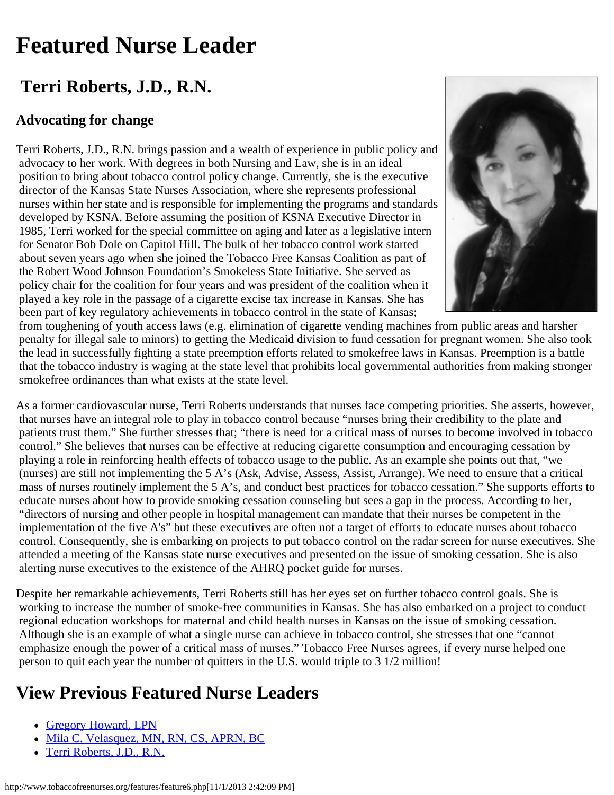## <span id="page-0-0"></span>**Featured Nurse Leader**

## **Terri Roberts, J.D., R.N.**

## **Advocating for change**

Terri Roberts, J.D., R.N. brings passion and a wealth of experience in public policy and advocacy to her work. With degrees in both Nursing and Law, she is in an ideal position to bring about tobacco control policy change. Currently, she is the executive director of the Kansas State Nurses Association, where she represents professional nurses within her state and is responsible for implementing the programs and standards developed by KSNA. Before assuming the position of KSNA Executive Director in 1985, Terri worked for the special committee on aging and later as a legislative intern for Senator Bob Dole on Capitol Hill. The bulk of her tobacco control work started about seven years ago when she joined the Tobacco Free Kansas Coalition as part of the Robert Wood Johnson Foundation's Smokeless State Initiative. She served as policy chair for the coalition for four years and was president of the coalition when it played a key role in the passage of a cigarette excise tax increase in Kansas. She has been part of key regulatory achievements in tobacco control in the state of Kansas;



 from toughening of youth access laws (e.g. elimination of cigarette vending machines from public areas and harsher penalty for illegal sale to minors) to getting the Medicaid division to fund cessation for pregnant women. She also took the lead in successfully fighting a state preemption efforts related to smokefree laws in Kansas. Preemption is a battle that the tobacco industry is waging at the state level that prohibits local governmental authorities from making stronger smokefree ordinances than what exists at the state level.

As a former cardiovascular nurse, Terri Roberts understands that nurses face competing priorities. She asserts, however, that nurses have an integral role to play in tobacco control because "nurses bring their credibility to the plate and patients trust them." She further stresses that; "there is need for a critical mass of nurses to become involved in tobacco control." She believes that nurses can be effective at reducing cigarette consumption and encouraging cessation by playing a role in reinforcing health effects of tobacco usage to the public. As an example she points out that, "we (nurses) are still not implementing the 5 A's (Ask, Advise, Assess, Assist, Arrange). We need to ensure that a critical mass of nurses routinely implement the 5 A's, and conduct best practices for tobacco cessation." She supports efforts to educate nurses about how to provide smoking cessation counseling but sees a gap in the process. According to her, "directors of nursing and other people in hospital management can mandate that their nurses be competent in the implementation of the five A's" but these executives are often not a target of efforts to educate nurses about tobacco control. Consequently, she is embarking on projects to put tobacco control on the radar screen for nurse executives. She attended a meeting of the Kansas state nurse executives and presented on the issue of smoking cessation. She is also alerting nurse executives to the existence of the AHRQ pocket guide for nurses.

Despite her remarkable achievements, Terri Roberts still has her eyes set on further tobacco control goals. She is working to increase the number of smoke-free communities in Kansas. She has also embarked on a project to conduct regional education workshops for maternal and child health nurses in Kansas on the issue of smoking cessation. Although she is an example of what a single nurse can achieve in tobacco control, she stresses that one "cannot emphasize enough the power of a critical mass of nurses." Tobacco Free Nurses agrees, if every nurse helped one person to quit each year the number of quitters in the U.S. would triple to 3 1/2 million!

## **View Previous Featured Nurse Leaders**

- [Gregory Howard, LPN](http://www.tobaccofreenurses.org/features/index.php)
- [Mila C. Velasquez, MN, RN, CS, APRN, BC](http://www.tobaccofreenurses.org/features/feature7.php)
- [Terri Roberts, J.D., R.N.](#page-0-0)